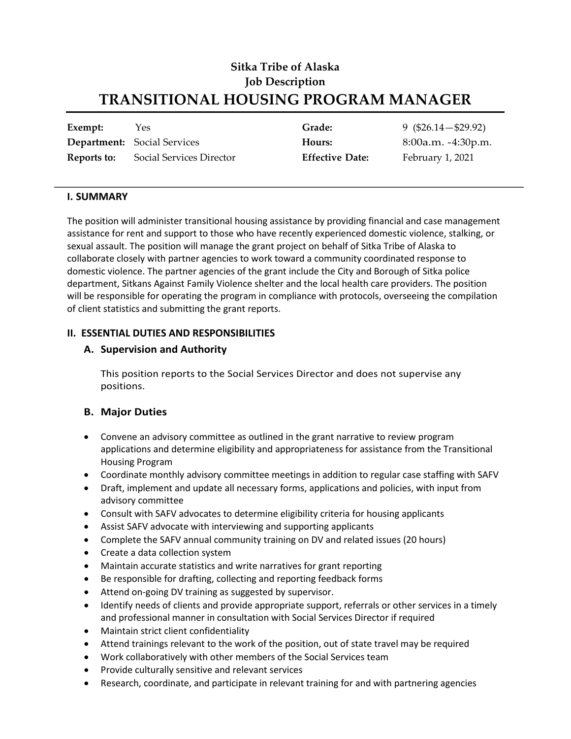# **Sitka Tribe of Alaska Job Description TRANSITIONAL HOUSING PROGRAM MANAGER**

| Exempt:     | Yes.                               | Grade:                 | $9(\$26.14-\$29.92)$ |
|-------------|------------------------------------|------------------------|----------------------|
|             | <b>Department:</b> Social Services | Hours:                 | $8:00a.m. -4:30p.m.$ |
| Reports to: | Social Services Director           | <b>Effective Date:</b> | February 1, 2021     |

#### **I. SUMMARY**

The position will administer transitional housing assistance by providing financial and case management assistance for rent and support to those who have recently experienced domestic violence, stalking, or sexual assault. The position will manage the grant project on behalf of Sitka Tribe of Alaska to collaborate closely with partner agencies to work toward a community coordinated response to domestic violence. The partner agencies of the grant include the City and Borough of Sitka police department, Sitkans Against Family Violence shelter and the local health care providers. The position will be responsible for operating the program in compliance with protocols, overseeing the compilation of client statistics and submitting the grant reports.

#### **II. ESSENTIAL DUTIES AND RESPONSIBILITIES**

#### **A. Supervision and Authority**

This position reports to the Social Services Director and does not supervise any positions.

## **B. Major Duties**

- Convene an advisory committee as outlined in the grant narrative to review program applications and determine eligibility and appropriateness for assistance from the Transitional Housing Program
- Coordinate monthly advisory committee meetings in addition to regular case staffing with SAFV
- Draft, implement and update all necessary forms, applications and policies, with input from advisory committee
- Consult with SAFV advocates to determine eligibility criteria for housing applicants
- Assist SAFV advocate with interviewing and supporting applicants
- Complete the SAFV annual community training on DV and related issues (20 hours)
- Create a data collection system
- Maintain accurate statistics and write narratives for grant reporting
- Be responsible for drafting, collecting and reporting feedback forms
- Attend on-going DV training as suggested by supervisor.
- Identify needs of clients and provide appropriate support, referrals or other services in a timely and professional manner in consultation with Social Services Director if required
- Maintain strict client confidentiality
- Attend trainings relevant to the work of the position, out of state travel may be required
- Work collaboratively with other members of the Social Services team
- Provide culturally sensitive and relevant services
- Research, coordinate, and participate in relevant training for and with partnering agencies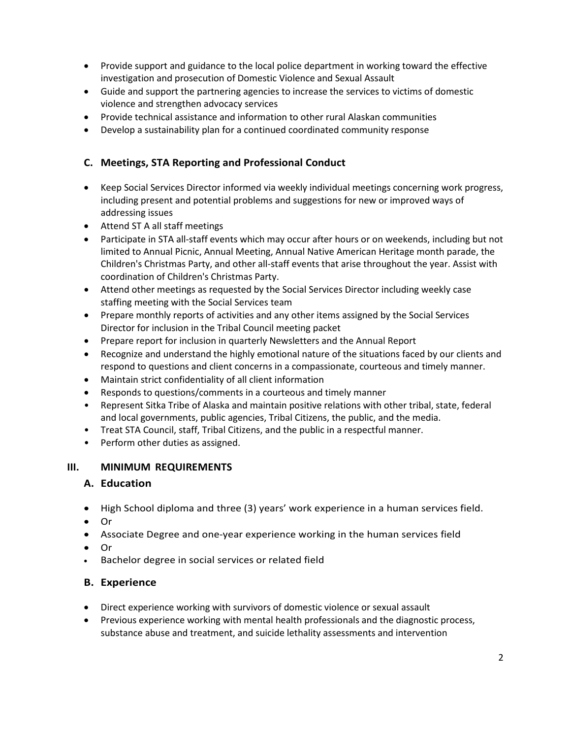- Provide support and guidance to the local police department in working toward the effective investigation and prosecution of Domestic Violence and Sexual Assault
- Guide and support the partnering agencies to increase the services to victims of domestic violence and strengthen advocacy services
- Provide technical assistance and information to other rural Alaskan communities
- Develop a sustainability plan for a continued coordinated community response

# **C. Meetings, STA Reporting and Professional Conduct**

- Keep Social Services Director informed via weekly individual meetings concerning work progress, including present and potential problems and suggestions for new or improved ways of addressing issues
- Attend ST A all staff meetings
- Participate in STA all-staff events which may occur after hours or on weekends, including but not limited to Annual Picnic, Annual Meeting, Annual Native American Heritage month parade, the Children's Christmas Party, and other all-staff events that arise throughout the year. Assist with coordination of Children's Christmas Party.
- Attend other meetings as requested by the Social Services Director including weekly case staffing meeting with the Social Services team
- Prepare monthly reports of activities and any other items assigned by the Social Services Director for inclusion in the Tribal Council meeting packet
- Prepare report for inclusion in quarterly Newsletters and the Annual Report
- Recognize and understand the highly emotional nature of the situations faced by our clients and respond to questions and client concerns in a compassionate, courteous and timely manner.
- Maintain strict confidentiality of all client information
- Responds to questions/comments in a courteous and timely manner
- Represent Sitka Tribe of Alaska and maintain positive relations with other tribal, state, federal and local governments, public agencies, Tribal Citizens, the public, and the media.
- Treat STA Council, staff, Tribal Citizens, and the public in a respectful manner.
- Perform other duties as assigned.

# **III. MINIMUM REQUIREMENTS**

## **A. Education**

- High School diploma and three (3) years' work experience in a human services field.
- Or
- Associate Degree and one-year experience working in the human services field
- Or
- Bachelor degree in social services or related field

# **B. Experience**

- Direct experience working with survivors of domestic violence or sexual assault
- Previous experience working with mental health professionals and the diagnostic process, substance abuse and treatment, and suicide lethality assessments and intervention